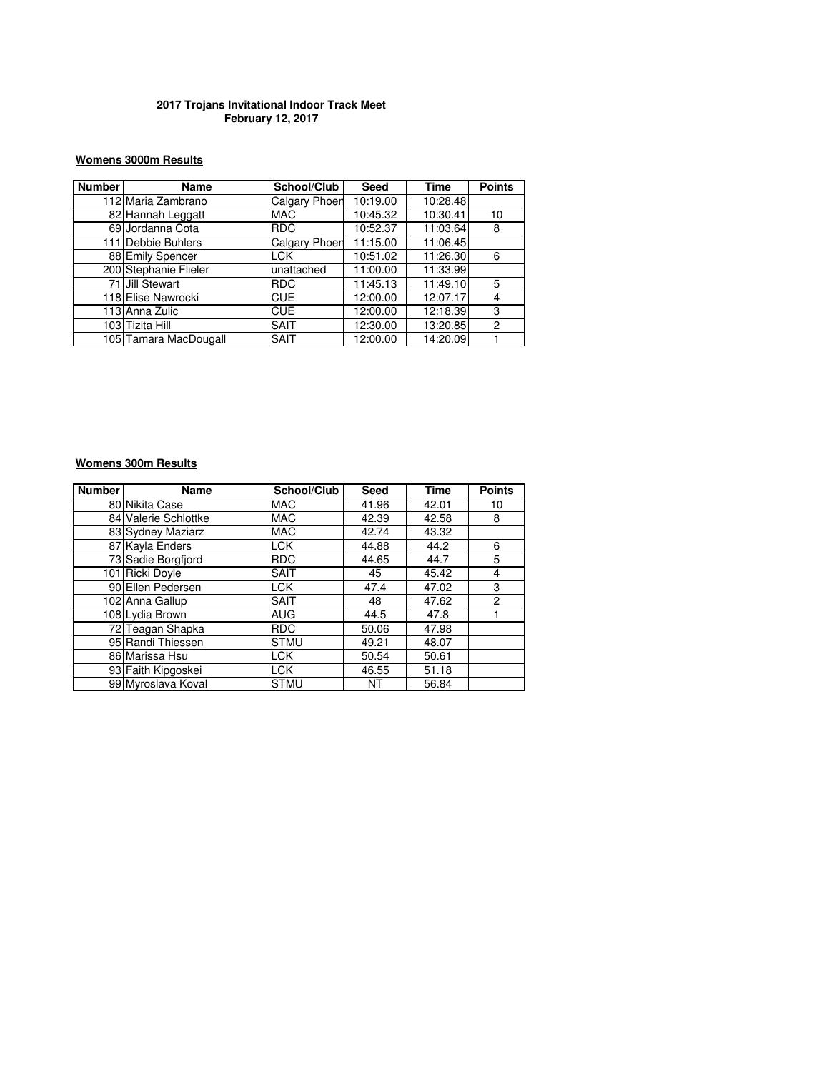### **2017 Trojans Invitational Indoor Track Meet February 12, 2017**

### **Womens 3000m Results**

| <b>Number</b> | Name                  | School/Club          | <b>Seed</b> | Time     | <b>Points</b>  |
|---------------|-----------------------|----------------------|-------------|----------|----------------|
|               | 112 Maria Zambrano    | Calgary Phoer        | 10:19.00    | 10:28.48 |                |
|               | 82 Hannah Leggatt     | <b>MAC</b>           | 10:45.32    | 10:30.41 | 10             |
|               | 69 Jordanna Cota      | <b>RDC</b>           | 10:52.37    | 11:03.64 | 8              |
|               | 111 Debbie Buhlers    | <b>Calgary Phoen</b> | 11:15.00    | 11:06.45 |                |
|               | 88 Emily Spencer      | <b>LCK</b>           | 10:51.02    | 11:26.30 | 6              |
|               | 200 Stephanie Flieler | unattached           | 11:00.00    | 11:33.99 |                |
|               | 71 Jill Stewart       | <b>RDC</b>           | 11:45.13    | 11:49.10 | 5              |
|               | 118 Elise Nawrocki    | <b>CUE</b>           | 12:00.00    | 12:07.17 | 4              |
|               | 113 Anna Zulic        | <b>CUE</b>           | 12:00.00    | 12:18.39 | 3              |
|               | 103 Tizita Hill       | <b>SAIT</b>          | 12:30.00    | 13:20.85 | $\overline{2}$ |
|               | 105 Tamara MacDougall | <b>SAIT</b>          | 12:00.00    | 14:20.09 |                |

### **Womens 300m Results**

| <b>Number</b> | Name                 | School/Club | <b>Seed</b> | <b>Time</b> | <b>Points</b>  |
|---------------|----------------------|-------------|-------------|-------------|----------------|
|               | 80 Nikita Case       | <b>MAC</b>  | 41.96       | 42.01       | 10             |
|               | 84 Valerie Schlottke | <b>MAC</b>  | 42.39       | 42.58       | 8              |
|               | 83 Sydney Maziarz    | <b>MAC</b>  | 42.74       | 43.32       |                |
|               | 87 Kayla Enders      | <b>LCK</b>  | 44.88       | 44.2        | 6              |
|               | 73 Sadie Borgfjord   | <b>RDC</b>  | 44.65       | 44.7        | 5              |
|               | 101 Ricki Doyle      | <b>SAIT</b> | 45          | 45.42       | 4              |
|               | 90 Ellen Pedersen    | <b>LCK</b>  | 47.4        | 47.02       | 3              |
|               | 102 Anna Gallup      | <b>SAIT</b> | 48          | 47.62       | $\overline{2}$ |
|               | 108 Lydia Brown      | <b>AUG</b>  | 44.5        | 47.8        |                |
|               | 72 Teagan Shapka     | <b>RDC</b>  | 50.06       | 47.98       |                |
|               | 95 Randi Thiessen    | <b>STMU</b> | 49.21       | 48.07       |                |
|               | 86 Marissa Hsu       | <b>LCK</b>  | 50.54       | 50.61       |                |
|               | 93 Faith Kipgoskei   | <b>LCK</b>  | 46.55       | 51.18       |                |
|               | 99 Myroslava Koval   | <b>STMU</b> | NT          | 56.84       |                |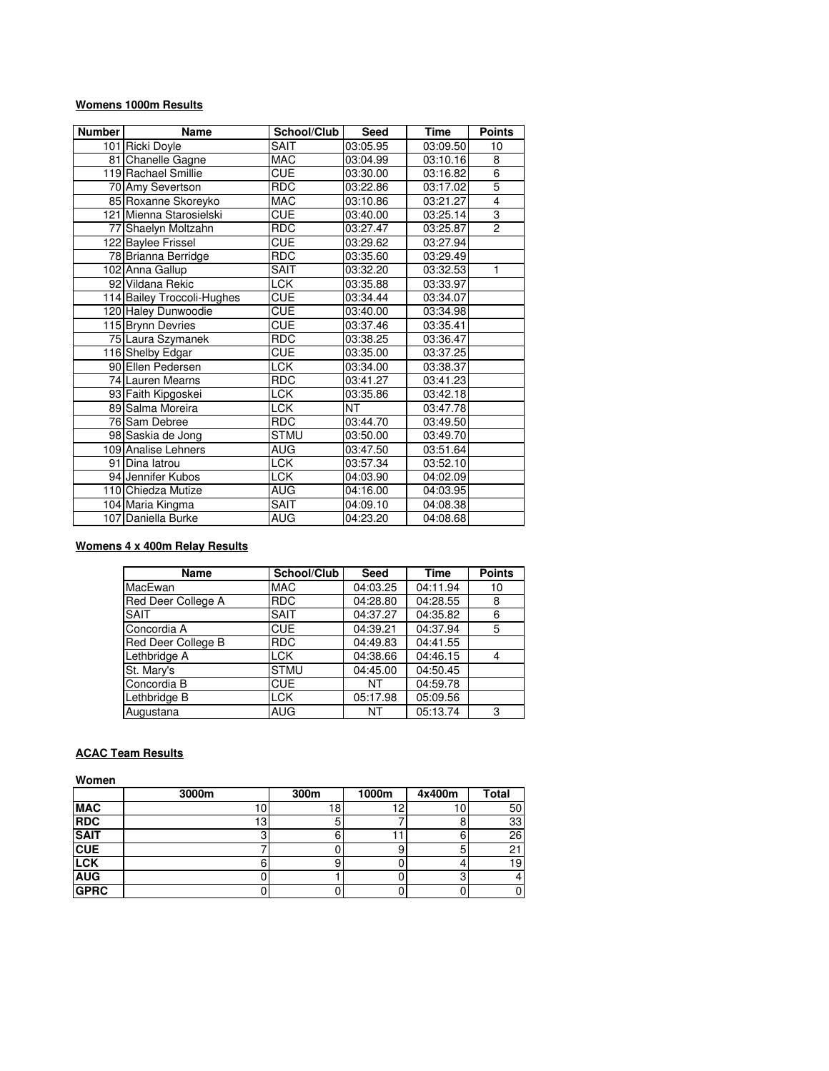### **Womens 1000m Results**

| <b>Number</b> | <b>Name</b>                | School/Club | <b>Seed</b> | <b>Time</b> | <b>Points</b>  |
|---------------|----------------------------|-------------|-------------|-------------|----------------|
|               | 101 Ricki Doyle            | <b>SAIT</b> | 03:05.95    | 03:09.50    | 10             |
|               | 81 Chanelle Gagne          | <b>MAC</b>  | 03:04.99    | 03:10.16    | 8              |
|               | 119 Rachael Smillie        | <b>CUE</b>  | 03:30.00    | 03:16.82    | $\overline{6}$ |
|               | 70 Amy Severtson           | <b>RDC</b>  | 03:22.86    | 03:17.02    | 5              |
|               | 85 Roxanne Skoreyko        | MAC         | 03:10.86    | 03:21.27    | $\overline{4}$ |
|               | 121 Mienna Starosielski    | CUE         | 03:40.00    | 03:25.14    | $\overline{3}$ |
|               | 77 Shaelyn Moltzahn        | <b>RDC</b>  | 03:27.47    | 03:25.87    | $\overline{2}$ |
|               | 122 Baylee Frissel         | <b>CUE</b>  | 03:29.62    | 03:27.94    |                |
|               | 78 Brianna Berridge        | <b>RDC</b>  | 03:35.60    | 03:29.49    |                |
|               | 102 Anna Gallup            | <b>SAIT</b> | 03:32.20    | 03:32.53    | 1              |
|               | 92 Vildana Rekic           | <b>LCK</b>  | 03:35.88    | 03:33.97    |                |
|               | 114 Bailey Troccoli-Hughes | CUE         | 03:34.44    | 03:34.07    |                |
|               | 120 Haley Dunwoodie        | CUE         | 03:40.00    | 03:34.98    |                |
|               | 115 Brynn Devries          | <b>CUE</b>  | 03:37.46    | 03:35.41    |                |
|               | 75 Laura Szymanek          | <b>RDC</b>  | 03:38.25    | 03:36.47    |                |
|               | 116 Shelby Edgar           | <b>CUE</b>  | 03:35.00    | 03:37.25    |                |
|               | 90 Ellen Pedersen          | <b>LCK</b>  | 03:34.00    | 03:38.37    |                |
|               | 74 Lauren Mearns           | <b>RDC</b>  | 03:41.27    | 03:41.23    |                |
|               | 93 Faith Kipgoskei         | <b>LCK</b>  | 03:35.86    | 03:42.18    |                |
|               | 89 Salma Moreira           | <b>LCK</b>  | NΤ          | 03:47.78    |                |
|               | 76 Sam Debree              | <b>RDC</b>  | 03:44.70    | 03:49.50    |                |
|               | 98 Saskia de Jong          | <b>STMU</b> | 03:50.00    | 03:49.70    |                |
|               | 109 Analise Lehners        | AUG         | 03:47.50    | 03:51.64    |                |
|               | 91 Dina latrou             | <b>LCK</b>  | 03:57.34    | 03:52.10    |                |
|               | 94 Jennifer Kubos          | LCK         | 04:03.90    | 04:02.09    |                |
|               | 110 Chiedza Mutize         | AUG         | 04:16.00    | 04:03.95    |                |
|               | 104 Maria Kingma           | SAIT        | 04:09.10    | 04:08.38    |                |
|               | 107 Daniella Burke         | AUG         | 04:23.20    | 04:08.68    |                |

### **Womens 4 x 400m Relay Results**

| Name               | School/Club | <b>Seed</b> | <b>Time</b> | <b>Points</b> |
|--------------------|-------------|-------------|-------------|---------------|
| MacEwan            | <b>MAC</b>  | 04:03.25    | 04:11.94    | 10            |
| Red Deer College A | <b>RDC</b>  | 04:28.80    | 04:28.55    | 8             |
| <b>SAIT</b>        | <b>SAIT</b> | 04:37.27    | 04:35.82    | 6             |
| Concordia A        | <b>CUE</b>  | 04:39.21    | 04:37.94    | 5             |
| Red Deer College B | <b>RDC</b>  | 04:49.83    | 04:41.55    |               |
| Lethbridge A       | <b>LCK</b>  | 04:38.66    | 04:46.15    |               |
| St. Mary's         | <b>STMU</b> | 04:45.00    | 04:50.45    |               |
| Concordia B        | <b>CUE</b>  | NΤ          | 04:59.78    |               |
| Lethbridge B       | <b>LCK</b>  | 05:17.98    | 05:09.56    |               |
| Augustana          | AUG         | NΤ          | 05:13.74    | 3             |

### **ACAC Team Results**

**Women**

|             | 3000m | 300m | 1000m | 4x400m | <b>Total</b> |
|-------------|-------|------|-------|--------|--------------|
| <b>MAC</b>  |       |      | 12    | 10     | 50           |
| <b>RDC</b>  | 13    |      |       |        | 33           |
| <b>SAIT</b> |       |      |       |        | 26           |
| <b>CUE</b>  |       |      |       |        | C            |
| <b>LCK</b>  |       |      |       |        | 19.          |
| <b>AUG</b>  |       |      |       |        |              |
| <b>GPRC</b> |       |      |       |        |              |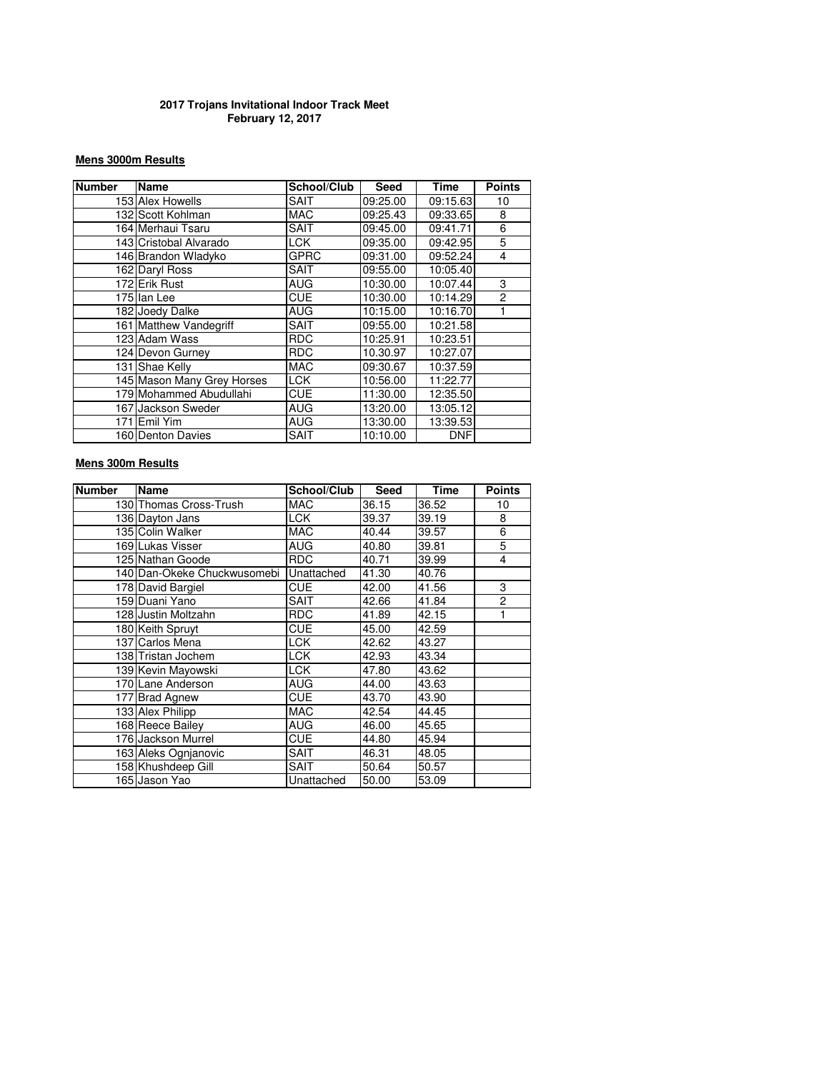### **2017 Trojans Invitational Indoor Track Meet February 12, 2017**

### **Mens 3000m Results**

| <b>Number</b> | Name                       | School/Club | <b>Seed</b> | Time       | <b>Points</b>  |
|---------------|----------------------------|-------------|-------------|------------|----------------|
|               | 153 Alex Howells           | <b>SAIT</b> | 09:25.00    | 09:15.63   | 10             |
|               | 132 Scott Kohlman          | <b>MAC</b>  | 09:25.43    | 09:33.65   | 8              |
|               | 164 Merhaui Tsaru          | <b>SAIT</b> | 09:45.00    | 09:41.71   | 6              |
|               | 143 Cristobal Alvarado     | <b>LCK</b>  | 09:35.00    | 09:42.95   | 5              |
|               | 146 Brandon Wladyko        | <b>GPRC</b> | 09:31.00    | 09:52.24   | 4              |
|               | 162 Daryl Ross             | <b>SAIT</b> | 09:55.00    | 10:05.40   |                |
|               | 172 Erik Rust              | <b>AUG</b>  | 10:30.00    | 10:07.44   | 3              |
|               | 175 Ilan Lee               | <b>CUE</b>  | 10:30.00    | 10:14.29   | $\overline{2}$ |
|               | 182 Joedy Dalke            | <b>AUG</b>  | 10:15.00    | 10:16.70   |                |
|               | 161 Matthew Vandegriff     | <b>SAIT</b> | 09:55.00    | 10:21.58   |                |
|               | 123 Adam Wass              | <b>RDC</b>  | 10:25.91    | 10:23.51   |                |
|               | 124 Devon Gurney           | <b>RDC</b>  | 10.30.97    | 10:27.07   |                |
|               | 131 Shae Kelly             | <b>MAC</b>  | 09:30.67    | 10:37.59   |                |
|               | 145 Mason Many Grey Horses | <b>LCK</b>  | 10:56.00    | 11:22.77   |                |
|               | 179 Mohammed Abudullahi    | <b>CUE</b>  | 11:30.00    | 12:35.50   |                |
|               | 167 Jackson Sweder         | AUG         | 13:20.00    | 13:05.12   |                |
|               | 171 lEmil Yim              | <b>AUG</b>  | 13:30.00    | 13:39.53   |                |
|               | 160 Denton Davies          | SAIT        | 10:10.00    | <b>DNF</b> |                |

## **Mens 300m Results**

| <b>Number</b> | <b>Name</b>                 | School/Club | <b>Seed</b> | Time  | <b>Points</b> |
|---------------|-----------------------------|-------------|-------------|-------|---------------|
|               | 130 Thomas Cross-Trush      | <b>MAC</b>  | 36.15       | 36.52 | 10            |
|               | 136 Dayton Jans             | <b>LCK</b>  | 39.37       | 39.19 | 8             |
|               | 135 Colin Walker            | <b>MAC</b>  | 40.44       | 39.57 | 6             |
|               | 169 Lukas Visser            | AUG         | 40.80       | 39.81 | 5             |
|               | 125 Nathan Goode            | <b>RDC</b>  | 40.71       | 39.99 | 4             |
|               | 140 Dan-Okeke Chuckwusomebi | Unattached  | 41.30       | 40.76 |               |
|               | 178 David Bargiel           | <b>CUE</b>  | 42.00       | 41.56 | 3             |
|               | 159 Duani Yano              | SAIT        | 42.66       | 41.84 | 2             |
|               | 128 Justin Moltzahn         | <b>RDC</b>  | 41.89       | 42.15 | 1             |
|               | 180 Keith Spruyt            | CUE         | 45.00       | 42.59 |               |
|               | 137 Carlos Mena             | <b>LCK</b>  | 42.62       | 43.27 |               |
|               | 138 Tristan Jochem          | <b>LCK</b>  | 42.93       | 43.34 |               |
|               | 139 Kevin Mayowski          | <b>LCK</b>  | 47.80       | 43.62 |               |
|               | 170 Lane Anderson           | AUG         | 44.00       | 43.63 |               |
|               | 177 Brad Agnew              | CUE         | 43.70       | 43.90 |               |
|               | 133 Alex Philipp            | <b>MAC</b>  | 42.54       | 44.45 |               |
|               | 168 Reece Bailey            | AUG         | 46.00       | 45.65 |               |
|               | 176 Jackson Murrel          | CUE         | 44.80       | 45.94 |               |
|               | 163 Aleks Ognjanovic        | SAIT        | 46.31       | 48.05 |               |
|               | 158 Khushdeep Gill          | SAIT        | 50.64       | 50.57 |               |
|               | 165 Jason Yao               | Unattached  | 50.00       | 53.09 |               |